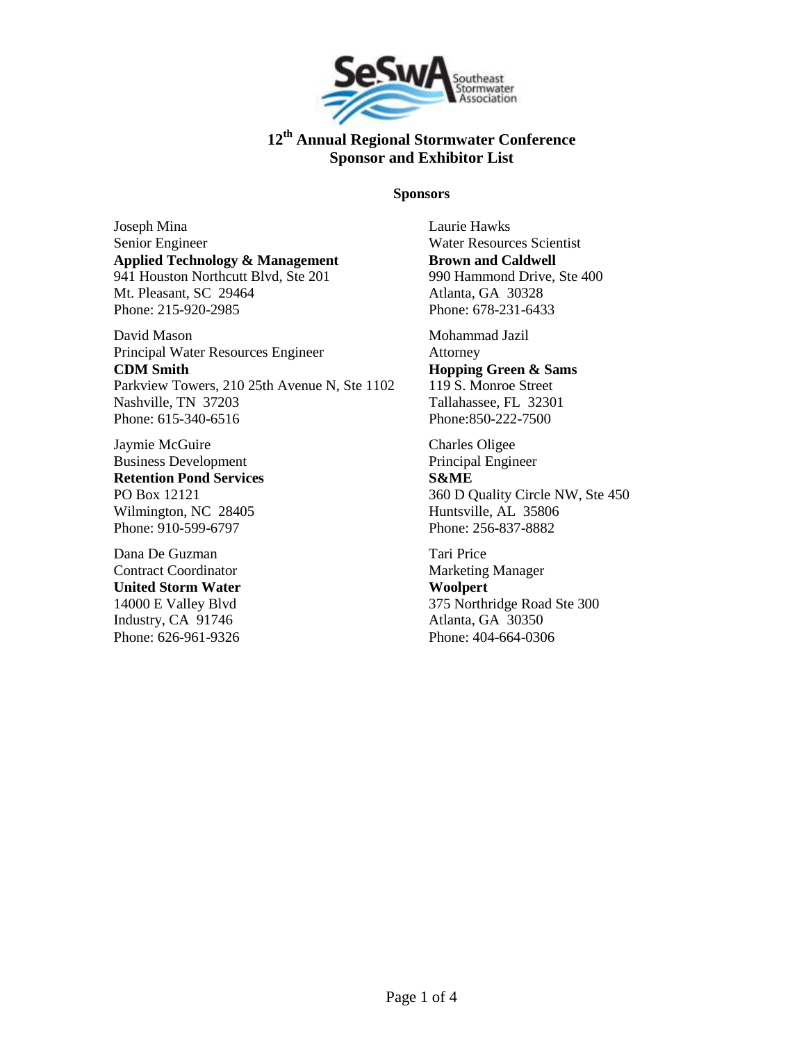

#### **Sponsors**

Joseph Mina Senior Engineer **Applied Technology & Management** 941 Houston Northcutt Blvd, Ste 201 Mt. Pleasant, SC 29464 Phone: 215-920-2985

David Mason Principal Water Resources Engineer **CDM Smith** Parkview Towers, 210 25th Avenue N, Ste 1102 Nashville, TN 37203 Phone: 615-340-6516

Jaymie McGuire Business Development **Retention Pond Services** PO Box 12121 Wilmington, NC 28405 Phone: 910-599-6797

Dana De Guzman Contract Coordinator **United Storm Water** 14000 E Valley Blvd Industry, CA 91746 Phone: 626-961-9326 Laurie Hawks Water Resources Scientist **Brown and Caldwell** 990 Hammond Drive, Ste 400 Atlanta, GA 30328 Phone: 678-231-6433

Mohammad Jazil Attorney **Hopping Green & Sams** 119 S. Monroe Street Tallahassee, FL 32301 Phone:850-222-7500

Charles Oligee Principal Engineer **S&ME** 360 D Quality Circle NW, Ste 450 Huntsville, AL 35806 Phone: 256-837-8882

Tari Price Marketing Manager **Woolpert** 375 Northridge Road Ste 300 Atlanta, GA 30350 Phone: 404-664-0306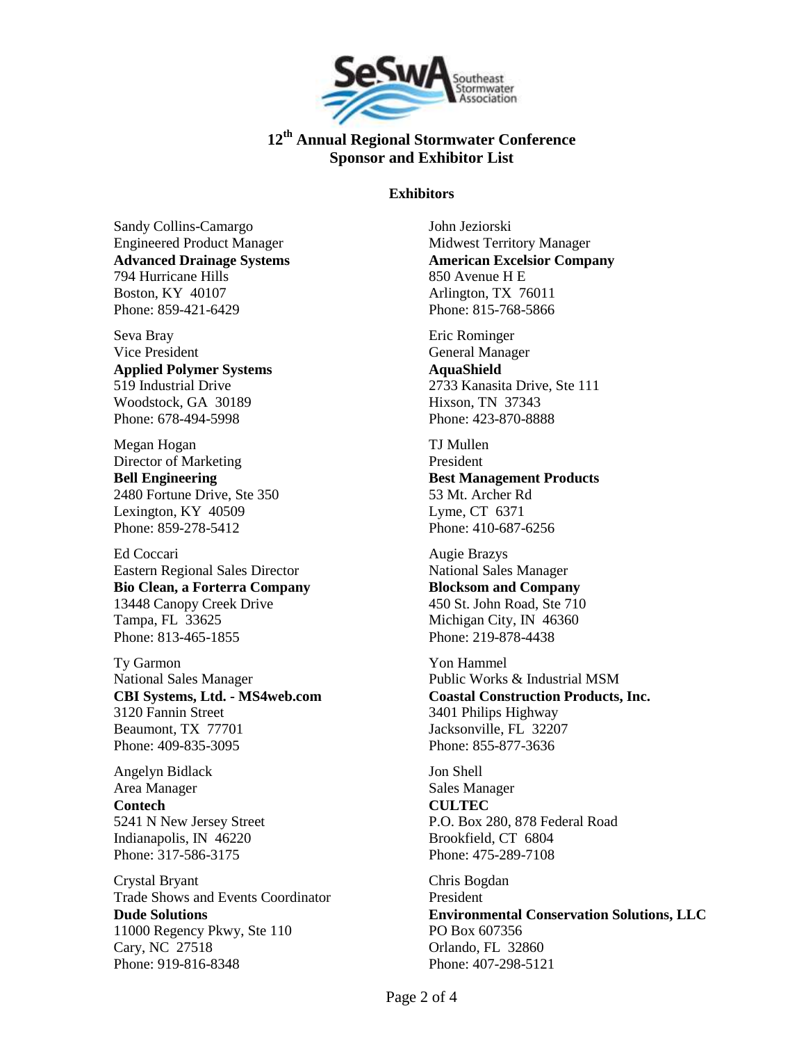

### **Exhibitors**

Sandy Collins-Camargo Engineered Product Manager **Advanced Drainage Systems** 794 Hurricane Hills Boston, KY 40107 Phone: 859-421-6429

Seva Bray Vice President **Applied Polymer Systems** 519 Industrial Drive Woodstock, GA 30189 Phone: 678-494-5998

Megan Hogan Director of Marketing **Bell Engineering** 2480 Fortune Drive, Ste 350 Lexington, KY 40509 Phone: 859-278-5412

Ed Coccari Eastern Regional Sales Director **Bio Clean, a Forterra Company** 13448 Canopy Creek Drive Tampa, FL 33625 Phone: 813-465-1855

Ty Garmon National Sales Manager **CBI Systems, Ltd. - MS4web.com** 3120 Fannin Street Beaumont, TX 77701 Phone: 409-835-3095

Angelyn Bidlack Area Manager **Contech** 5241 N New Jersey Street Indianapolis, IN 46220 Phone: 317-586-3175

Crystal Bryant Trade Shows and Events Coordinator **Dude Solutions** 11000 Regency Pkwy, Ste 110 Cary, NC 27518 Phone: 919-816-8348

John Jeziorski Midwest Territory Manager **American Excelsior Company** 850 Avenue H E Arlington, TX 76011 Phone: 815-768-5866

Eric Rominger General Manager **AquaShield** 2733 Kanasita Drive, Ste 111 Hixson, TN 37343 Phone: 423-870-8888

TJ Mullen President **Best Management Products** 53 Mt. Archer Rd Lyme, CT 6371 Phone: 410-687-6256

Augie Brazys National Sales Manager **Blocksom and Company** 450 St. John Road, Ste 710 Michigan City, IN 46360 Phone: 219-878-4438

Yon Hammel Public Works & Industrial MSM **Coastal Construction Products, Inc.** 3401 Philips Highway Jacksonville, FL 32207 Phone: 855-877-3636

Jon Shell Sales Manager **CULTEC** P.O. Box 280, 878 Federal Road Brookfield, CT 6804 Phone: 475-289-7108

Chris Bogdan President **Environmental Conservation Solutions, LLC** PO Box 607356 Orlando, FL 32860 Phone: 407-298-5121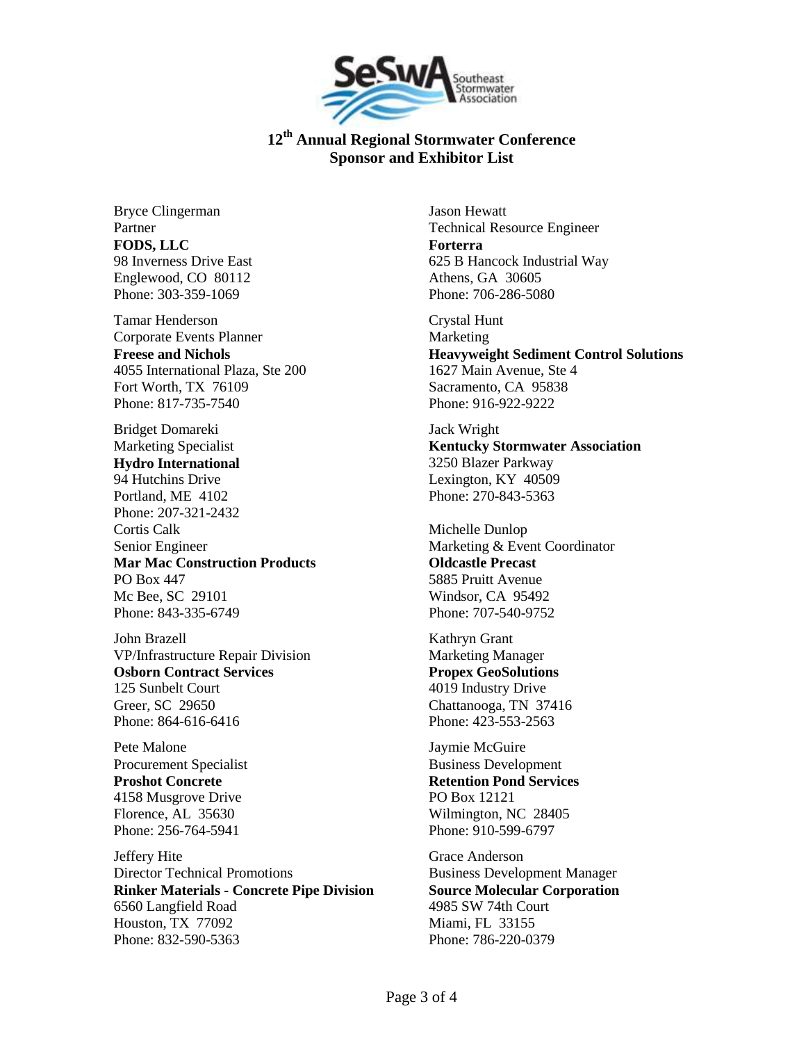

Bryce Clingerman Partner **FODS, LLC** 98 Inverness Drive East Englewood, CO 80112 Phone: 303-359-1069

Tamar Henderson Corporate Events Planner **Freese and Nichols** 4055 International Plaza, Ste 200 Fort Worth, TX 76109 Phone: 817-735-7540

Bridget Domareki Marketing Specialist **Hydro International** 94 Hutchins Drive Portland, ME 4102 Phone: 207-321-2432 Cortis Calk Senior Engineer **Mar Mac Construction Products** PO Box 447 Mc Bee, SC 29101 Phone: 843-335-6749

John Brazell VP/Infrastructure Repair Division **Osborn Contract Services** 125 Sunbelt Court Greer, SC 29650 Phone: 864-616-6416

Pete Malone Procurement Specialist **Proshot Concrete** 4158 Musgrove Drive Florence, AL 35630 Phone: 256-764-5941

Jeffery Hite Director Technical Promotions **Rinker Materials - Concrete Pipe Division** 6560 Langfield Road Houston, TX 77092 Phone: 832-590-5363

Jason Hewatt Technical Resource Engineer **Forterra** 625 B Hancock Industrial Way Athens, GA 30605 Phone: 706-286-5080

Crystal Hunt Marketing **Heavyweight Sediment Control Solutions** 1627 Main Avenue, Ste 4 Sacramento, CA 95838 Phone: 916-922-9222

Jack Wright **Kentucky Stormwater Association** 3250 Blazer Parkway Lexington, KY 40509 Phone: 270-843-5363

Michelle Dunlop Marketing & Event Coordinator **Oldcastle Precast** 5885 Pruitt Avenue Windsor, CA 95492 Phone: 707-540-9752

Kathryn Grant Marketing Manager **Propex GeoSolutions** 4019 Industry Drive Chattanooga, TN 37416 Phone: 423-553-2563

Jaymie McGuire Business Development **Retention Pond Services** PO Box 12121 Wilmington, NC 28405 Phone: 910-599-6797

Grace Anderson Business Development Manager **Source Molecular Corporation** 4985 SW 74th Court Miami, FL 33155 Phone: 786-220-0379